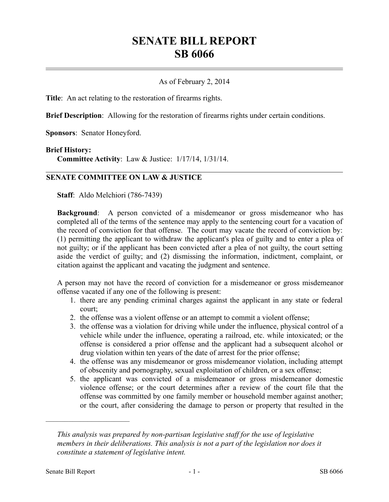# **SENATE BILL REPORT SB 6066**

#### As of February 2, 2014

**Title**: An act relating to the restoration of firearms rights.

**Brief Description**: Allowing for the restoration of firearms rights under certain conditions.

**Sponsors**: Senator Honeyford.

#### **Brief History:**

**Committee Activity**: Law & Justice: 1/17/14, 1/31/14.

### **SENATE COMMITTEE ON LAW & JUSTICE**

**Staff**: Aldo Melchiori (786-7439)

**Background:** A person convicted of a misdemeanor or gross misdemeanor who has completed all of the terms of the sentence may apply to the sentencing court for a vacation of the record of conviction for that offense. The court may vacate the record of conviction by: (1) permitting the applicant to withdraw the applicant's plea of guilty and to enter a plea of not guilty; or if the applicant has been convicted after a plea of not guilty, the court setting aside the verdict of guilty; and (2) dismissing the information, indictment, complaint, or citation against the applicant and vacating the judgment and sentence.

A person may not have the record of conviction for a misdemeanor or gross misdemeanor offense vacated if any one of the following is present:

- 1. there are any pending criminal charges against the applicant in any state or federal court;
- 2. the offense was a violent offense or an attempt to commit a violent offense;
- 3. the offense was a violation for driving while under the influence, physical control of a vehicle while under the influence, operating a railroad, etc. while intoxicated; or the offense is considered a prior offense and the applicant had a subsequent alcohol or drug violation within ten years of the date of arrest for the prior offense;
- 4. the offense was any misdemeanor or gross misdemeanor violation, including attempt of obscenity and pornography, sexual exploitation of children, or a sex offense;
- 5. the applicant was convicted of a misdemeanor or gross misdemeanor domestic violence offense; or the court determines after a review of the court file that the offense was committed by one family member or household member against another; or the court, after considering the damage to person or property that resulted in the

––––––––––––––––––––––

*This analysis was prepared by non-partisan legislative staff for the use of legislative members in their deliberations. This analysis is not a part of the legislation nor does it constitute a statement of legislative intent.*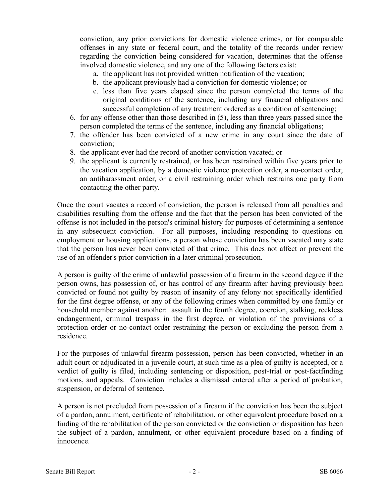conviction, any prior convictions for domestic violence crimes, or for comparable offenses in any state or federal court, and the totality of the records under review regarding the conviction being considered for vacation, determines that the offense involved domestic violence, and any one of the following factors exist:

- a. the applicant has not provided written notification of the vacation;
- b. the applicant previously had a conviction for domestic violence; or
- c. less than five years elapsed since the person completed the terms of the original conditions of the sentence, including any financial obligations and successful completion of any treatment ordered as a condition of sentencing;
- 6. for any offense other than those described in (5), less than three years passed since the person completed the terms of the sentence, including any financial obligations;
- 7. the offender has been convicted of a new crime in any court since the date of conviction;
- 8. the applicant ever had the record of another conviction vacated; or
- 9. the applicant is currently restrained, or has been restrained within five years prior to the vacation application, by a domestic violence protection order, a no-contact order, an antiharassment order, or a civil restraining order which restrains one party from contacting the other party.

Once the court vacates a record of conviction, the person is released from all penalties and disabilities resulting from the offense and the fact that the person has been convicted of the offense is not included in the person's criminal history for purposes of determining a sentence in any subsequent conviction. For all purposes, including responding to questions on employment or housing applications, a person whose conviction has been vacated may state that the person has never been convicted of that crime. This does not affect or prevent the use of an offender's prior conviction in a later criminal prosecution.

A person is guilty of the crime of unlawful possession of a firearm in the second degree if the person owns, has possession of, or has control of any firearm after having previously been convicted or found not guilty by reason of insanity of any felony not specifically identified for the first degree offense, or any of the following crimes when committed by one family or household member against another: assault in the fourth degree, coercion, stalking, reckless endangerment, criminal trespass in the first degree, or violation of the provisions of a protection order or no-contact order restraining the person or excluding the person from a residence.

For the purposes of unlawful firearm possession, person has been convicted, whether in an adult court or adjudicated in a juvenile court, at such time as a plea of guilty is accepted, or a verdict of guilty is filed, including sentencing or disposition, post-trial or post-factfinding motions, and appeals. Conviction includes a dismissal entered after a period of probation, suspension, or deferral of sentence.

A person is not precluded from possession of a firearm if the conviction has been the subject of a pardon, annulment, certificate of rehabilitation, or other equivalent procedure based on a finding of the rehabilitation of the person convicted or the conviction or disposition has been the subject of a pardon, annulment, or other equivalent procedure based on a finding of innocence.